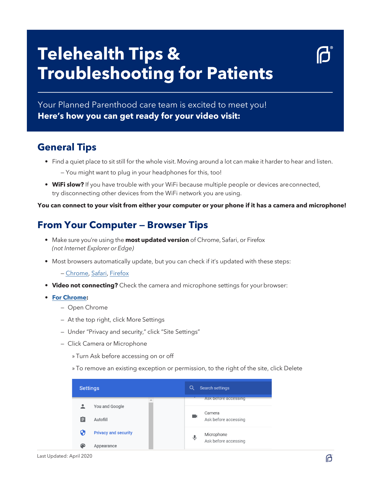# **Telehealth Tips & Troubleshooting for Patients**

Your Planned Parenthood care team is excited to meet you! **Here's how you can get ready for your video visit:**

## **General Tips**

- Find a quiet place to sit still for the whole visit. Moving around a lot can make it harder to hear and listen.
	- You might want to plug in your headphones for this, too!
- **• WiFi slow?** If you have trouble with your WiFi because multiple people or devices areconnected, try disconnecting other devices from the WiFi network you are using.

**You can connect to your visit from either your computer or your phone if it has a camera and microphone!**

## **From Your Computer — Browser Tips**

- Make sure you're using the **most updated version** of Chrome, Safari, or Firefox *(not Internet Explorer or Edge)*
- Most browsers automatically update, but you can check if it's updated with these steps:

— Chrome, Safari, Firefox

- Video not connecting? Check the camera and microphone settings for your browser:
- **• For Chrome:**
	- Open Chrome
	- At the top right, click More Settings
	- Under "Privacy and security," click "Site Settings"
	- Click Camera or Microphone
		- » Turn Ask before accessing on or off
		- » To remove an existing exception or permission, to the right of the site, click Delete

| <b>Settings</b>                   | Q<br><b>Search settings</b>                                   |  |
|-----------------------------------|---------------------------------------------------------------|--|
|                                   | Ask before accessing                                          |  |
| ∙<br>You and Google               | Camera                                                        |  |
| Ê<br>Autofill                     | Ask before accessing                                          |  |
| G)<br><b>Privacy and security</b> | Microphone<br>$\overline{\mathbb{P}}$<br>Ask before accessing |  |
| ക<br>Appearance                   |                                                               |  |